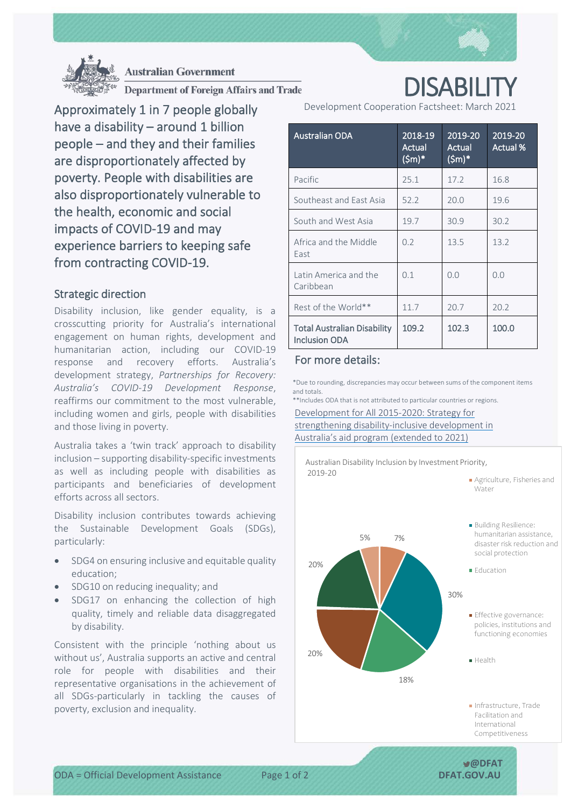



**Australian Government** 

**Department of Foreign Affairs and Trade** 

Approximately 1 in 7 people globally have a disability – around 1 billion people – and they and their families are disproportionately affected by poverty. People with disabilities are also disproportionately vulnerable to the health, economic and social impacts of COVID-19 and may experience barriers to keeping safe from contracting COVID-19.

## Strategic direction

Disability inclusion, like gender equality, is a crosscutting priority for Australia's international engagement on human rights, development and humanitarian action, including our COVID-19 response and recovery efforts. Australia's development strategy, *Partnerships for Recovery: Australia's COVID-19 Development Response*, reaffirms our commitment to the most vulnerable, including women and girls, people with disabilities and those living in poverty.

Australia takes a 'twin track' approach to disability inclusion – supporting disability-specific investments as well as including people with disabilities as participants and beneficiaries of development efforts across all sectors.

Disability inclusion contributes towards achieving the Sustainable Development Goals (SDGs), particularly:

- SDG4 on ensuring inclusive and equitable quality education;
- SDG10 on reducing inequality; and
- SDG17 on enhancing the collection of high quality, timely and reliable data disaggregated by disability.

Consistent with the principle 'nothing about us without us', Australia supports an active and central role for people with disabilities and their representative organisations in the achievement of all SDGs-particularly in tackling the causes of poverty, exclusion and inequality.

DISABILITY Development Cooperation Factsheet: March 2021

| <b>Australian ODA</b>                                      | 2018-19<br>Actual<br>$(Sm)*$ | 2019-20<br>Actual<br>$(Sm)^*$ | 2019-20<br>Actual % |
|------------------------------------------------------------|------------------------------|-------------------------------|---------------------|
| Pacific                                                    | 25.1                         | 17.2                          | 16.8                |
| Southeast and East Asia                                    | 52.2                         | 20.0                          | 19.6                |
| South and West Asia                                        | 19.7                         | 30.9                          | 30.2                |
| Africa and the Middle<br>East                              | 0.2                          | 13.5                          | 13.2                |
| Latin America and the<br>Caribbean                         | 0.1                          | 0.0                           | 0.0                 |
| Rest of the World**                                        | 11.7                         | 20.7                          | 20.2                |
| <b>Total Australian Disability</b><br><b>Inclusion ODA</b> | 109.2                        | 102.3                         | 100.0               |

# For more details:

\*Due to rounding, discrepancies may occur between sums of the component items and totals.

\*\*Includes ODA that is not attributed to particular countries or regions.

[Development for All 2015-2020: Strategy for](http://dfat.gov.au/about-us/publications/Pages/development-for-all-2015-2020.aspx)  [strengthening disability-inclusive development in](http://dfat.gov.au/about-us/publications/Pages/development-for-all-2015-2020.aspx)  [Australia's aid program \(extended to 2021\)](http://dfat.gov.au/about-us/publications/Pages/development-for-all-2015-2020.aspx) 



ODA = Official Development Assistance Page 1 of 2 **DFAT.GOV.AU**